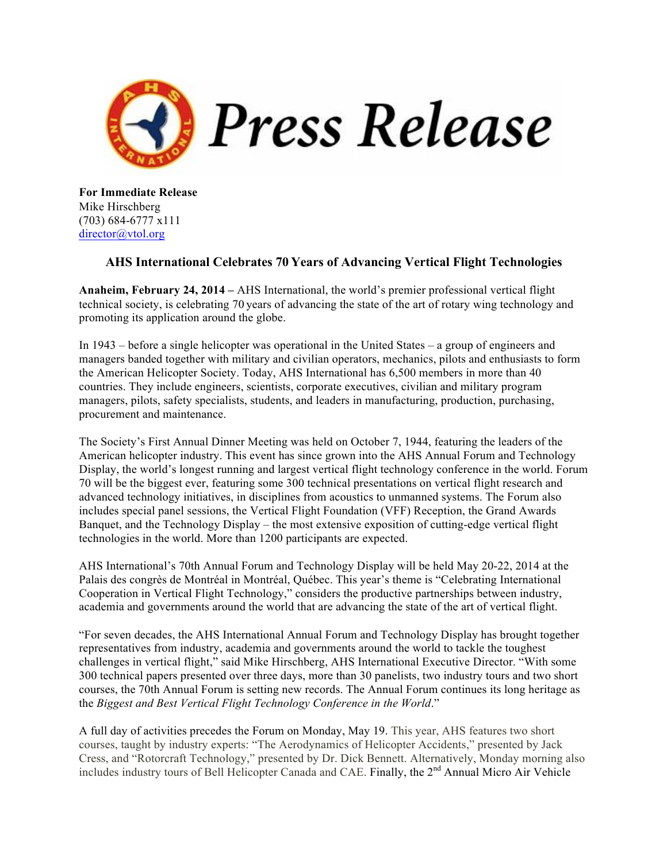

**For Immediate Release** Mike Hirschberg (703) 684-6777 x111 director@vtol.org

## **AHS International Celebrates 70 Years of Advancing Vertical Flight Technologies**

**Anaheim, February 24, 2014 –** AHS International, the world's premier professional vertical flight technical society, is celebrating 70 years of advancing the state of the art of rotary wing technology and promoting its application around the globe.

In 1943 – before a single helicopter was operational in the United States – a group of engineers and managers banded together with military and civilian operators, mechanics, pilots and enthusiasts to form the American Helicopter Society. Today, AHS International has 6,500 members in more than 40 countries. They include engineers, scientists, corporate executives, civilian and military program managers, pilots, safety specialists, students, and leaders in manufacturing, production, purchasing, procurement and maintenance.

The Society's First Annual Dinner Meeting was held on October 7, 1944, featuring the leaders of the American helicopter industry. This event has since grown into the AHS Annual Forum and Technology Display, the world's longest running and largest vertical flight technology conference in the world. Forum 70 will be the biggest ever, featuring some 300 technical presentations on vertical flight research and advanced technology initiatives, in disciplines from acoustics to unmanned systems. The Forum also includes special panel sessions, the Vertical Flight Foundation (VFF) Reception, the Grand Awards Banquet, and the Technology Display – the most extensive exposition of cutting-edge vertical flight technologies in the world. More than 1200 participants are expected.

AHS International's 70th Annual Forum and Technology Display will be held May 20-22, 2014 at the Palais des congrès de Montréal in Montréal, Québec. This year's theme is "Celebrating International Cooperation in Vertical Flight Technology," considers the productive partnerships between industry, academia and governments around the world that are advancing the state of the art of vertical flight.

"For seven decades, the AHS International Annual Forum and Technology Display has brought together representatives from industry, academia and governments around the world to tackle the toughest challenges in vertical flight," said Mike Hirschberg, AHS International Executive Director. "With some 300 technical papers presented over three days, more than 30 panelists, two industry tours and two short courses, the 70th Annual Forum is setting new records. The Annual Forum continues its long heritage as the *Biggest and Best Vertical Flight Technology Conference in the World*."

A full day of activities precedes the Forum on Monday, May 19. This year, AHS features two short courses, taught by industry experts: "The Aerodynamics of Helicopter Accidents," presented by Jack Cress, and "Rotorcraft Technology," presented by Dr. Dick Bennett. Alternatively, Monday morning also includes industry tours of Bell Helicopter Canada and CAE. Finally, the 2<sup>nd</sup> Annual Micro Air Vehicle